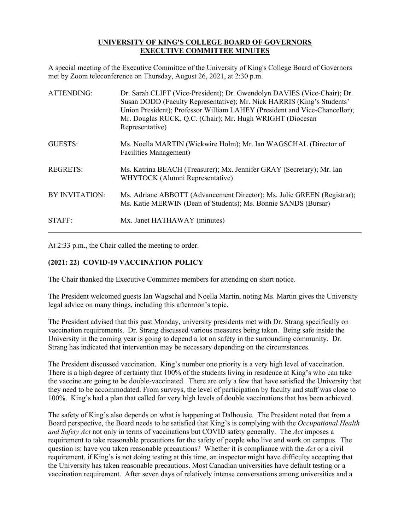## **UNIVERSITY OF KING'S COLLEGE BOARD OF GOVERNORS EXECUTIVE COMMITTEE MINUTES**

A special meeting of the Executive Committee of the University of King's College Board of Governors met by Zoom teleconference on Thursday, August 26, 2021, at 2:30 p.m.

| <b>ATTENDING:</b> | Dr. Sarah CLIFT (Vice-President); Dr. Gwendolyn DAVIES (Vice-Chair); Dr.<br>Susan DODD (Faculty Representative); Mr. Nick HARRIS (King's Students'<br>Union President); Professor William LAHEY (President and Vice-Chancellor);<br>Mr. Douglas RUCK, Q.C. (Chair); Mr. Hugh WRIGHT (Diocesan<br>Representative) |
|-------------------|------------------------------------------------------------------------------------------------------------------------------------------------------------------------------------------------------------------------------------------------------------------------------------------------------------------|
| GUESTS:           | Ms. Noella MARTIN (Wickwire Holm); Mr. Ian WAGSCHAL (Director of<br>Facilities Management)                                                                                                                                                                                                                       |
| <b>REGRETS:</b>   | Ms. Katrina BEACH (Treasurer); Mx. Jennifer GRAY (Secretary); Mr. Ian<br>WHYTOCK (Alumni Representative)                                                                                                                                                                                                         |
| BY INVITATION:    | Ms. Adriane ABBOTT (Advancement Director); Ms. Julie GREEN (Registrar);<br>Ms. Katie MERWIN (Dean of Students); Ms. Bonnie SANDS (Bursar)                                                                                                                                                                        |
| STAFF:            | Mx. Janet HATHAWAY (minutes)                                                                                                                                                                                                                                                                                     |

At 2:33 p.m., the Chair called the meeting to order.

## **(2021: 22) COVID-19 VACCINATION POLICY**

The Chair thanked the Executive Committee members for attending on short notice.

The President welcomed guests Ian Wagschal and Noella Martin, noting Ms. Martin gives the University legal advice on many things, including this afternoon's topic.

The President advised that this past Monday, university presidents met with Dr. Strang specifically on vaccination requirements. Dr. Strang discussed various measures being taken. Being safe inside the University in the coming year is going to depend a lot on safety in the surrounding community. Dr. Strang has indicated that intervention may be necessary depending on the circumstances.

The President discussed vaccination. King's number one priority is a very high level of vaccination. There is a high degree of certainty that 100% of the students living in residence at King's who can take the vaccine are going to be double-vaccinated. There are only a few that have satisfied the University that they need to be accommodated. From surveys, the level of participation by faculty and staff was close to 100%. King's had a plan that called for very high levels of double vaccinations that has been achieved.

The safety of King's also depends on what is happening at Dalhousie. The President noted that from a Board perspective, the Board needs to be satisfied that King's is complying with the *Occupational Health and Safety Act* not only in terms of vaccinations but COVID safety generally. The *Act* imposes a requirement to take reasonable precautions for the safety of people who live and work on campus. The question is: have you taken reasonable precautions? Whether it is compliance with the *Act* or a civil requirement, if King's is not doing testing at this time, an inspector might have difficulty accepting that the University has taken reasonable precautions. Most Canadian universities have default testing or a vaccination requirement. After seven days of relatively intense conversations among universities and a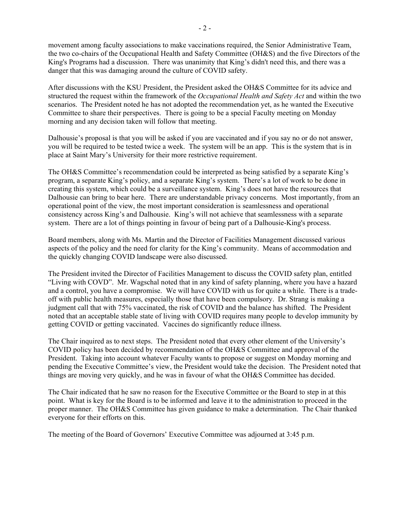movement among faculty associations to make vaccinations required, the Senior Administrative Team, the two co-chairs of the Occupational Health and Safety Committee (OH&S) and the five Directors of the King's Programs had a discussion. There was unanimity that King's didn't need this, and there was a danger that this was damaging around the culture of COVID safety.

After discussions with the KSU President, the President asked the OH&S Committee for its advice and structured the request within the framework of the *Occupational Health and Safety Act* and within the two scenarios. The President noted he has not adopted the recommendation yet, as he wanted the Executive Committee to share their perspectives. There is going to be a special Faculty meeting on Monday morning and any decision taken will follow that meeting.

Dalhousie's proposal is that you will be asked if you are vaccinated and if you say no or do not answer, you will be required to be tested twice a week. The system will be an app. This is the system that is in place at Saint Mary's University for their more restrictive requirement.

The OH&S Committee's recommendation could be interpreted as being satisfied by a separate King's program, a separate King's policy, and a separate King's system. There's a lot of work to be done in creating this system, which could be a surveillance system. King's does not have the resources that Dalhousie can bring to bear here. There are understandable privacy concerns. Most importantly, from an operational point of the view, the most important consideration is seamlessness and operational consistency across King's and Dalhousie. King's will not achieve that seamlessness with a separate system. There are a lot of things pointing in favour of being part of a Dalhousie-King's process.

Board members, along with Ms. Martin and the Director of Facilities Management discussed various aspects of the policy and the need for clarity for the King's community. Means of accommodation and the quickly changing COVID landscape were also discussed.

The President invited the Director of Facilities Management to discuss the COVID safety plan, entitled "Living with COVD". Mr. Wagschal noted that in any kind of safety planning, where you have a hazard and a control, you have a compromise. We will have COVID with us for quite a while. There is a tradeoff with public health measures, especially those that have been compulsory. Dr. Strang is making a judgment call that with 75% vaccinated, the risk of COVID and the balance has shifted. The President noted that an acceptable stable state of living with COVID requires many people to develop immunity by getting COVID or getting vaccinated. Vaccines do significantly reduce illness.

The Chair inquired as to next steps. The President noted that every other element of the University's COVID policy has been decided by recommendation of the OH&S Committee and approval of the President. Taking into account whatever Faculty wants to propose or suggest on Monday morning and pending the Executive Committee's view, the President would take the decision. The President noted that things are moving very quickly, and he was in favour of what the OH&S Committee has decided.

The Chair indicated that he saw no reason for the Executive Committee or the Board to step in at this point. What is key for the Board is to be informed and leave it to the administration to proceed in the proper manner. The OH&S Committee has given guidance to make a determination. The Chair thanked everyone for their efforts on this.

The meeting of the Board of Governors' Executive Committee was adjourned at 3:45 p.m.